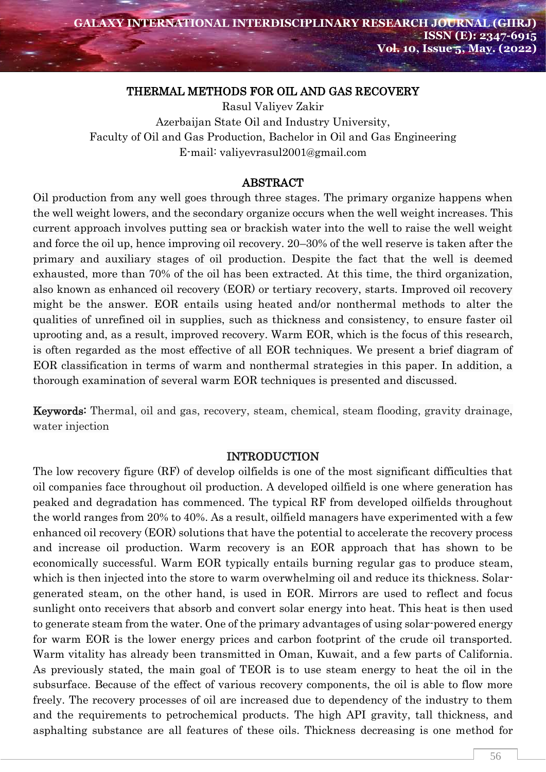#### THERMAL METHODS FOR OIL AND GAS RECOVERY

Rasul Valiyev Zakir Azerbaijan State Oil and Industry University, Faculty of Oil and Gas Production, Bachelor in Oil and Gas Engineering E-mail: valiyevrasul2001@gmail.com

#### ABSTRACT

Oil production from any well goes through three stages. The primary organize happens when the well weight lowers, and the secondary organize occurs when the well weight increases. This current approach involves putting sea or brackish water into the well to raise the well weight and force the oil up, hence improving oil recovery. 20–30% of the well reserve is taken after the primary and auxiliary stages of oil production. Despite the fact that the well is deemed exhausted, more than 70% of the oil has been extracted. At this time, the third organization, also known as enhanced oil recovery (EOR) or tertiary recovery, starts. Improved oil recovery might be the answer. EOR entails using heated and/or nonthermal methods to alter the qualities of unrefined oil in supplies, such as thickness and consistency, to ensure faster oil uprooting and, as a result, improved recovery. Warm EOR, which is the focus of this research, is often regarded as the most effective of all EOR techniques. We present a brief diagram of EOR classification in terms of warm and nonthermal strategies in this paper. In addition, a thorough examination of several warm EOR techniques is presented and discussed.

Keywords: Thermal, oil and gas, recovery, steam, chemical, steam flooding, gravity drainage, water injection

#### INTRODUCTION

The low recovery figure (RF) of develop oilfields is one of the most significant difficulties that oil companies face throughout oil production. A developed oilfield is one where generation has peaked and degradation has commenced. The typical RF from developed oilfields throughout the world ranges from 20% to 40%. As a result, oilfield managers have experimented with a few enhanced oil recovery (EOR) solutions that have the potential to accelerate the recovery process and increase oil production. Warm recovery is an EOR approach that has shown to be economically successful. Warm EOR typically entails burning regular gas to produce steam, which is then injected into the store to warm overwhelming oil and reduce its thickness. Solargenerated steam, on the other hand, is used in EOR. Mirrors are used to reflect and focus sunlight onto receivers that absorb and convert solar energy into heat. This heat is then used to generate steam from the water. One of the primary advantages of using solar-powered energy for warm EOR is the lower energy prices and carbon footprint of the crude oil transported. Warm vitality has already been transmitted in Oman, Kuwait, and a few parts of California. As previously stated, the main goal of TEOR is to use steam energy to heat the oil in the subsurface. Because of the effect of various recovery components, the oil is able to flow more freely. The recovery processes of oil are increased due to dependency of the industry to them and the requirements to petrochemical products. The high API gravity, tall thickness, and asphalting substance are all features of these oils. Thickness decreasing is one method for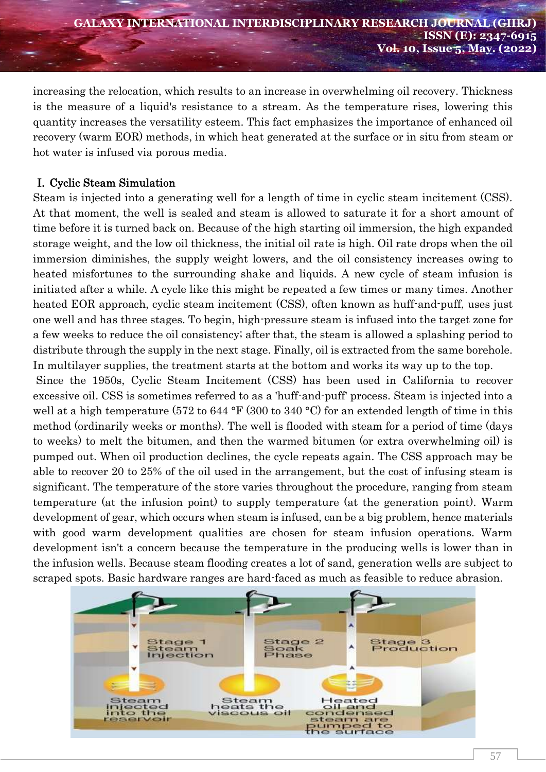increasing the relocation, which results to an increase in overwhelming oil recovery. Thickness is the measure of a liquid's resistance to a stream. As the temperature rises, lowering this quantity increases the versatility esteem. This fact emphasizes the importance of enhanced oil recovery (warm EOR) methods, in which heat generated at the surface or in situ from steam or hot water is infused via porous media.

# I. Cyclic Steam Simulation

Steam is injected into a generating well for a length of time in cyclic steam incitement (CSS). At that moment, the well is sealed and steam is allowed to saturate it for a short amount of time before it is turned back on. Because of the high starting oil immersion, the high expanded storage weight, and the low oil thickness, the initial oil rate is high. Oil rate drops when the oil immersion diminishes, the supply weight lowers, and the oil consistency increases owing to heated misfortunes to the surrounding shake and liquids. A new cycle of steam infusion is initiated after a while. A cycle like this might be repeated a few times or many times. Another heated EOR approach, cyclic steam incitement (CSS), often known as huff-and-puff, uses just one well and has three stages. To begin, high-pressure steam is infused into the target zone for a few weeks to reduce the oil consistency; after that, the steam is allowed a splashing period to distribute through the supply in the next stage. Finally, oil is extracted from the same borehole. In multilayer supplies, the treatment starts at the bottom and works its way up to the top.

Since the 1950s, Cyclic Steam Incitement (CSS) has been used in California to recover excessive oil. CSS is sometimes referred to as a 'huff-and-puff' process. Steam is injected into a well at a high temperature (572 to 644 °F (300 to 340 °C) for an extended length of time in this method (ordinarily weeks or months). The well is flooded with steam for a period of time (days to weeks) to melt the bitumen, and then the warmed bitumen (or extra overwhelming oil) is pumped out. When oil production declines, the cycle repeats again. The CSS approach may be able to recover 20 to 25% of the oil used in the arrangement, but the cost of infusing steam is significant. The temperature of the store varies throughout the procedure, ranging from steam temperature (at the infusion point) to supply temperature (at the generation point). Warm development of gear, which occurs when steam is infused, can be a big problem, hence materials with good warm development qualities are chosen for steam infusion operations. Warm development isn't a concern because the temperature in the producing wells is lower than in the infusion wells. Because steam flooding creates a lot of sand, generation wells are subject to scraped spots. Basic hardware ranges are hard-faced as much as feasible to reduce abrasion.

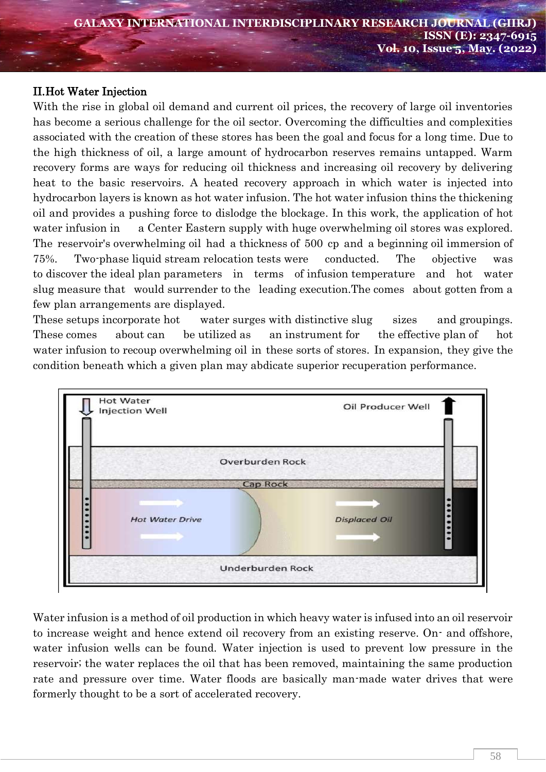## II.Hot Water Injection

With the rise in global oil demand and current oil prices, the recovery of large oil inventories has become a serious challenge for the oil sector. Overcoming the difficulties and complexities associated with the creation of these stores has been the goal and focus for a long time. Due to the high thickness of oil, a large amount of hydrocarbon reserves remains untapped. Warm recovery forms are ways for reducing oil thickness and increasing oil recovery by delivering heat to the basic reservoirs. A heated recovery approach in which water is injected into hydrocarbon layers is known as hot water infusion. The hot water infusion thins the thickening oil and provides a pushing force to dislodge the blockage. In this work, the application of hot water infusion in a Center Eastern supply with huge overwhelming oil stores was explored. The reservoir's overwhelming oil had a thickness of 500 cp and a beginning oil immersion of 75%. Two-phase liquid stream relocation tests were conducted. The objective was to discover the ideal plan parameters in terms of infusion temperature and hot water slug measure that would surrender to the leading execution.The comes about gotten from a few plan arrangements are displayed.

These setups incorporate hot water surges with distinctive slug sizes and groupings. These comes about can be utilized as an instrument for the effective plan of hot water infusion to recoup overwhelming oil in these sorts of stores. In expansion, they give the condition beneath which a given plan may abdicate superior recuperation performance.



Water infusion is a method of oil production in which heavy water is infused into an oil reservoir to increase weight and hence extend oil recovery from an existing reserve. On- and offshore, water infusion wells can be found. Water injection is used to prevent low pressure in the reservoir; the water replaces the oil that has been removed, maintaining the same production rate and pressure over time. Water floods are basically man-made water drives that were formerly thought to be a sort of accelerated recovery.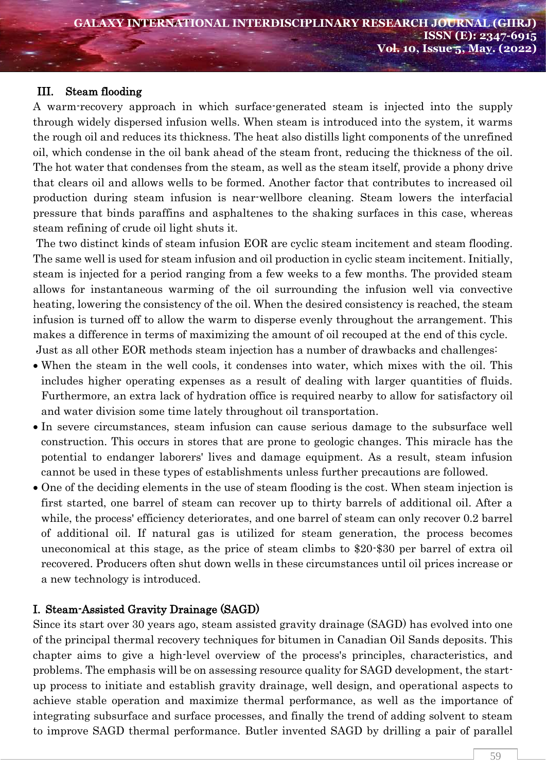## III. Steam flooding

A warm-recovery approach in which surface-generated steam is injected into the supply through widely dispersed infusion wells. When steam is introduced into the system, it warms the rough oil and reduces its thickness. The heat also distills light components of the unrefined oil, which condense in the oil bank ahead of the steam front, reducing the thickness of the oil. The hot water that condenses from the steam, as well as the steam itself, provide a phony drive that clears oil and allows wells to be formed. Another factor that contributes to increased oil production during steam infusion is near-wellbore cleaning. Steam lowers the interfacial pressure that binds paraffins and asphaltenes to the shaking surfaces in this case, whereas steam refining of crude oil light shuts it.

The two distinct kinds of steam infusion EOR are cyclic steam incitement and steam flooding. The same well is used for steam infusion and oil production in cyclic steam incitement. Initially, steam is injected for a period ranging from a few weeks to a few months. The provided steam allows for instantaneous warming of the oil surrounding the infusion well via convective heating, lowering the consistency of the oil. When the desired consistency is reached, the steam infusion is turned off to allow the warm to disperse evenly throughout the arrangement. This makes a difference in terms of maximizing the amount of oil recouped at the end of this cycle. Just as all other EOR methods steam injection has a number of drawbacks and challenges:

- When the steam in the well cools, it condenses into water, which mixes with the oil. This includes higher operating expenses as a result of dealing with larger quantities of fluids. Furthermore, an extra lack of hydration office is required nearby to allow for satisfactory oil and water division some time lately throughout oil transportation.
- In severe circumstances, steam infusion can cause serious damage to the subsurface well construction. This occurs in stores that are prone to geologic changes. This miracle has the potential to endanger laborers' lives and damage equipment. As a result, steam infusion cannot be used in these types of establishments unless further precautions are followed.
- One of the deciding elements in the use of steam flooding is the cost. When steam injection is first started, one barrel of steam can recover up to thirty barrels of additional oil. After a while, the process' efficiency deteriorates, and one barrel of steam can only recover 0.2 barrel of additional oil. If natural gas is utilized for steam generation, the process becomes uneconomical at this stage, as the price of steam climbs to \$20-\$30 per barrel of extra oil recovered. Producers often shut down wells in these circumstances until oil prices increase or a new technology is introduced.

## I. Steam-Assisted Gravity Drainage (SAGD)

Since its start over 30 years ago, steam assisted gravity drainage (SAGD) has evolved into one of the principal thermal recovery techniques for bitumen in Canadian Oil Sands deposits. This chapter aims to give a high-level overview of the process's principles, characteristics, and problems. The emphasis will be on assessing resource quality for SAGD development, the startup process to initiate and establish gravity drainage, well design, and operational aspects to achieve stable operation and maximize thermal performance, as well as the importance of integrating subsurface and surface processes, and finally the trend of adding solvent to steam to improve SAGD thermal performance. Butler invented SAGD by drilling a pair of parallel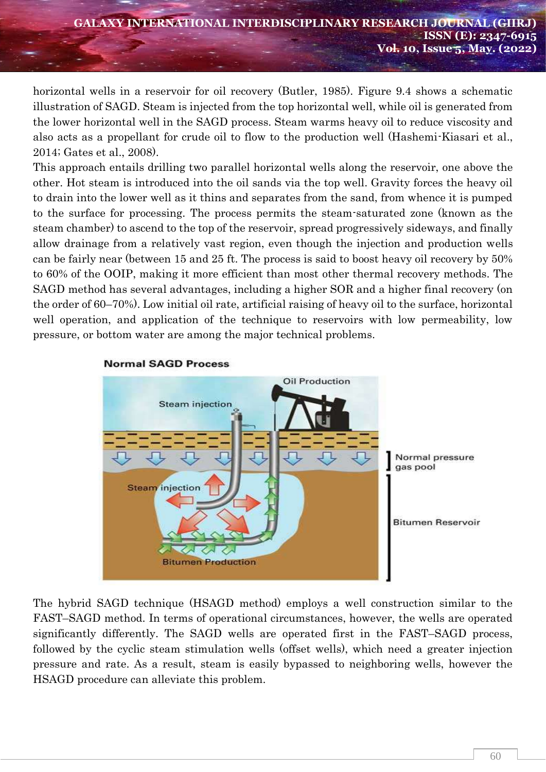horizontal wells in a reservoir for oil recovery (Butler, 1985). Figure 9.4 shows a schematic illustration of SAGD. Steam is injected from the top horizontal well, while oil is generated from the lower horizontal well in the SAGD process. Steam warms heavy oil to reduce viscosity and also acts as a propellant for crude oil to flow to the production well (Hashemi-Kiasari et al., 2014; Gates et al., 2008).

This approach entails drilling two parallel horizontal wells along the reservoir, one above the other. Hot steam is introduced into the oil sands via the top well. Gravity forces the heavy oil to drain into the lower well as it thins and separates from the sand, from whence it is pumped to the surface for processing. The process permits the steam-saturated zone (known as the steam chamber) to ascend to the top of the reservoir, spread progressively sideways, and finally allow drainage from a relatively vast region, even though the injection and production wells can be fairly near (between 15 and 25 ft. The process is said to boost heavy oil recovery by 50% to 60% of the OOIP, making it more efficient than most other thermal recovery methods. The SAGD method has several advantages, including a higher SOR and a higher final recovery (on the order of 60–70%). Low initial oil rate, artificial raising of heavy oil to the surface, horizontal well operation, and application of the technique to reservoirs with low permeability, low pressure, or bottom water are among the major technical problems.



#### **Normal SAGD Process**

The hybrid SAGD technique (HSAGD method) employs a well construction similar to the FAST–SAGD method. In terms of operational circumstances, however, the wells are operated significantly differently. The SAGD wells are operated first in the FAST–SAGD process, followed by the cyclic steam stimulation wells (offset wells), which need a greater injection pressure and rate. As a result, steam is easily bypassed to neighboring wells, however the HSAGD procedure can alleviate this problem.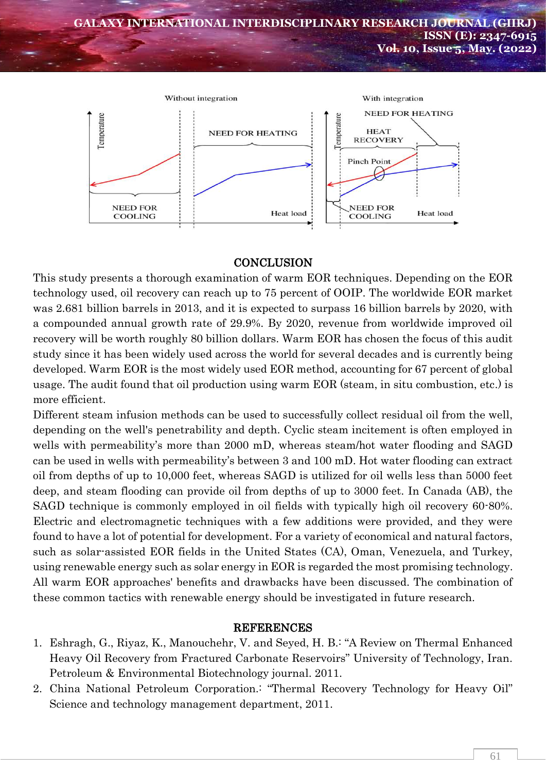

# **CONCLUSION**

This study presents a thorough examination of warm EOR techniques. Depending on the EOR technology used, oil recovery can reach up to 75 percent of OOIP. The worldwide EOR market was 2.681 billion barrels in 2013, and it is expected to surpass 16 billion barrels by 2020, with a compounded annual growth rate of 29.9%. By 2020, revenue from worldwide improved oil recovery will be worth roughly 80 billion dollars. Warm EOR has chosen the focus of this audit study since it has been widely used across the world for several decades and is currently being developed. Warm EOR is the most widely used EOR method, accounting for 67 percent of global usage. The audit found that oil production using warm EOR (steam, in situ combustion, etc.) is more efficient.

Different steam infusion methods can be used to successfully collect residual oil from the well, depending on the well's penetrability and depth. Cyclic steam incitement is often employed in wells with permeability's more than 2000 mD, whereas steam/hot water flooding and SAGD can be used in wells with permeability's between 3 and 100 mD. Hot water flooding can extract oil from depths of up to 10,000 feet, whereas SAGD is utilized for oil wells less than 5000 feet deep, and steam flooding can provide oil from depths of up to 3000 feet. In Canada (AB), the SAGD technique is commonly employed in oil fields with typically high oil recovery 60-80%. Electric and electromagnetic techniques with a few additions were provided, and they were found to have a lot of potential for development. For a variety of economical and natural factors, such as solar-assisted EOR fields in the United States (CA), Oman, Venezuela, and Turkey, using renewable energy such as solar energy in EOR is regarded the most promising technology. All warm EOR approaches' benefits and drawbacks have been discussed. The combination of these common tactics with renewable energy should be investigated in future research.

### REFERENCES

- 1. Eshragh, G., Riyaz, K., Manouchehr, V. and Seyed, H. B.: "A Review on Thermal Enhanced Heavy Oil Recovery from Fractured Carbonate Reservoirs" University of Technology, Iran. Petroleum & Environmental Biotechnology journal. 2011.
- 2. China National Petroleum Corporation.: "Thermal Recovery Technology for Heavy Oil" Science and technology management department, 2011.